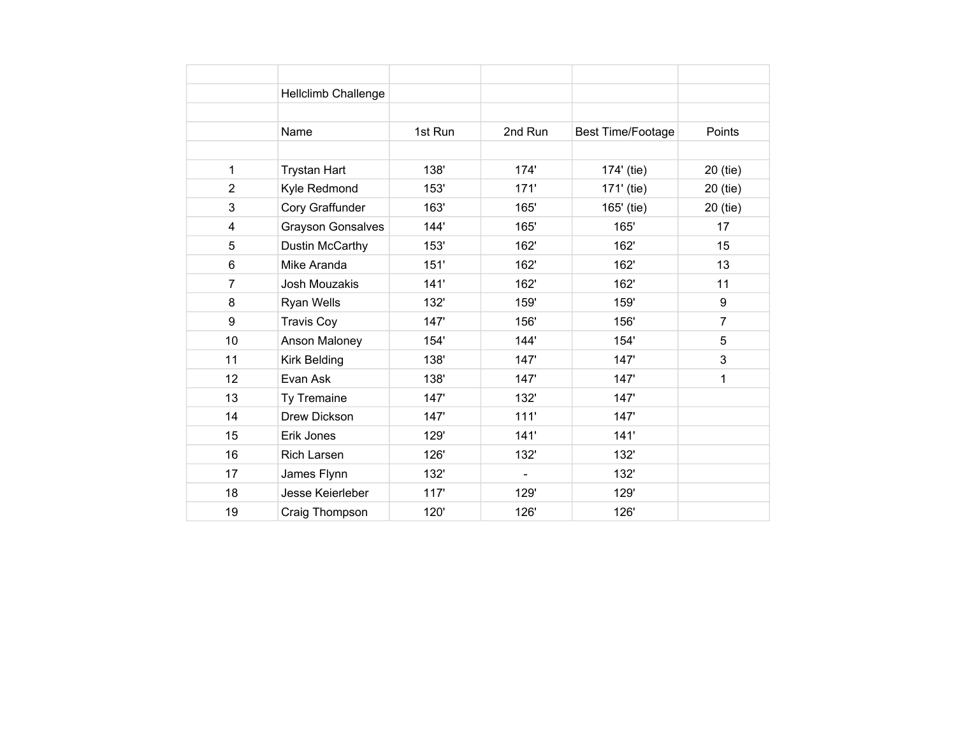|                | Hellclimb Challenge      |         |         |                          |                |
|----------------|--------------------------|---------|---------|--------------------------|----------------|
|                |                          |         |         |                          |                |
|                | Name                     | 1st Run | 2nd Run | <b>Best Time/Footage</b> | Points         |
|                |                          |         |         |                          |                |
| 1              | <b>Trystan Hart</b>      | 138'    | 174'    | 174' (tie)               | 20 (tie)       |
| $\overline{2}$ | Kyle Redmond             | 153'    | 171'    | 171' (tie)               | 20 (tie)       |
| 3              | Cory Graffunder          | 163'    | 165'    | 165' (tie)               | 20 (tie)       |
| 4              | <b>Grayson Gonsalves</b> | 144'    | 165'    | 165'                     | 17             |
| 5              | Dustin McCarthy          | 153'    | 162'    | 162'                     | 15             |
| 6              | Mike Aranda              | 151'    | 162'    | 162'                     | 13             |
| $\overline{7}$ | Josh Mouzakis            | 141'    | 162'    | 162'                     | 11             |
| 8              | Ryan Wells               | 132'    | 159'    | 159'                     | 9              |
| 9              | <b>Travis Coy</b>        | 147'    | 156'    | 156'                     | $\overline{7}$ |
| 10             | Anson Maloney            | 154'    | 144'    | 154'                     | 5              |
| 11             | Kirk Belding             | 138'    | 147'    | 147'                     | 3              |
| 12             | Evan Ask                 | 138'    | 147'    | 147'                     | 1              |
| 13             | Ty Tremaine              | 147'    | 132'    | 147'                     |                |
| 14             | Drew Dickson             | 147'    | 111'    | 147'                     |                |
| 15             | Erik Jones               | 129'    | 141'    | 141'                     |                |
| 16             | Rich Larsen              | 126'    | 132'    | 132'                     |                |
| 17             | James Flynn              | 132'    |         | 132'                     |                |
| 18             | Jesse Keierleber         | 117'    | 129'    | 129'                     |                |
| 19             | Craig Thompson           | 120'    | 126'    | 126'                     |                |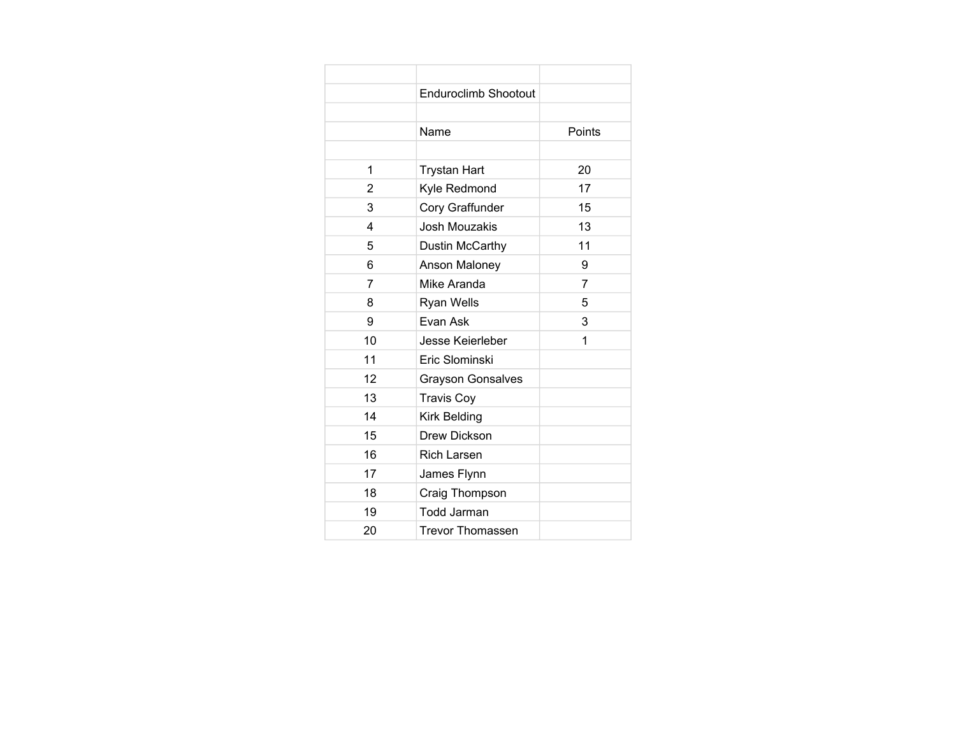|    | Enduroclimb Shootout     |        |
|----|--------------------------|--------|
|    |                          |        |
|    | Name                     | Points |
|    |                          |        |
| 1  | <b>Trystan Hart</b>      | 20     |
| 2  | Kyle Redmond             | 17     |
| 3  | Cory Graffunder          | 15     |
| 4  | <b>Josh Mouzakis</b>     | 13     |
| 5  | Dustin McCarthy          | 11     |
| 6  | Anson Maloney            | 9      |
| 7  | Mike Aranda              | 7      |
| 8  | Ryan Wells               | 5      |
| 9  | Evan Ask                 | 3      |
| 10 | Jesse Keierleber         | 1      |
| 11 | Eric Slominski           |        |
| 12 | <b>Grayson Gonsalves</b> |        |
| 13 | <b>Travis Coy</b>        |        |
| 14 | <b>Kirk Belding</b>      |        |
| 15 | Drew Dickson             |        |
| 16 | <b>Rich Larsen</b>       |        |
| 17 | James Flynn              |        |
| 18 | Craig Thompson           |        |
| 19 | <b>Todd Jarman</b>       |        |
| 20 | <b>Trevor Thomassen</b>  |        |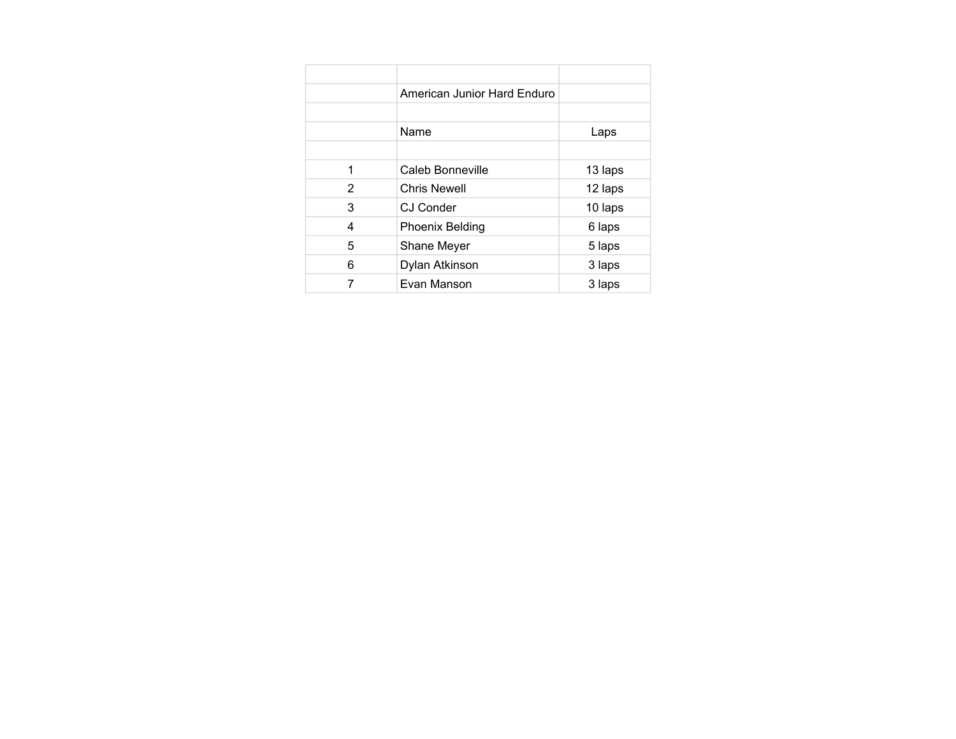|   | American Junior Hard Enduro |         |
|---|-----------------------------|---------|
|   |                             |         |
|   | Name                        | Laps    |
|   |                             |         |
| 1 | Caleb Bonneville            | 13 laps |
| 2 | <b>Chris Newell</b>         | 12 laps |
| 3 | CJ Conder                   | 10 laps |
| 4 | <b>Phoenix Belding</b>      | 6 laps  |
| 5 | Shane Meyer                 | 5 laps  |
| 6 | Dylan Atkinson              | 3 laps  |
|   | Evan Manson                 | 3 laps  |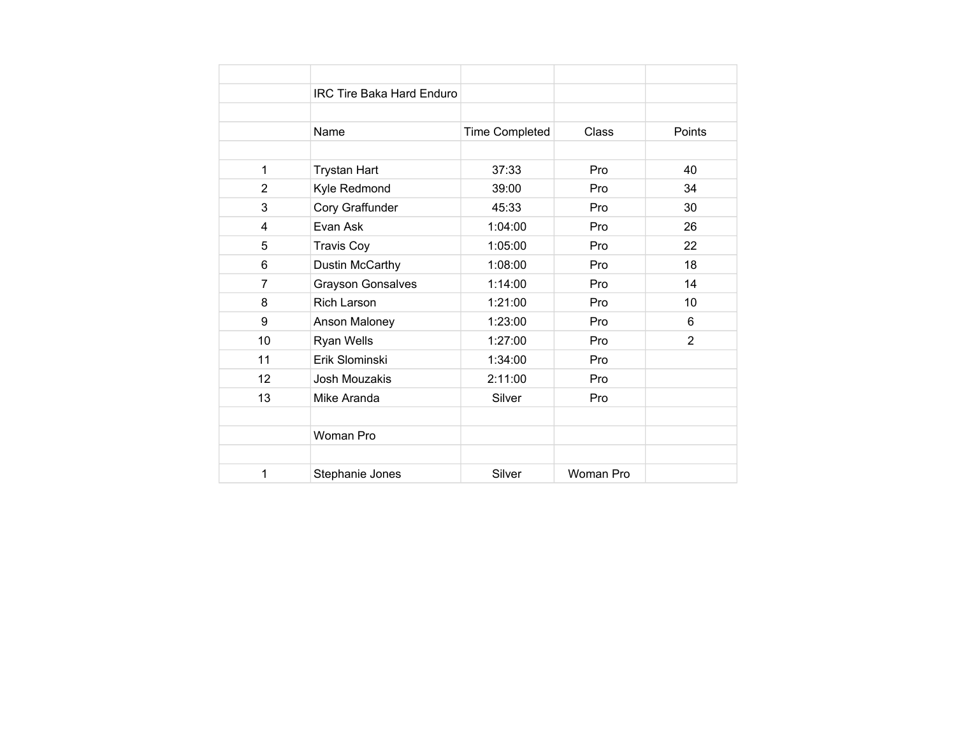|                | <b>IRC Tire Baka Hard Enduro</b> |                       |           |                |
|----------------|----------------------------------|-----------------------|-----------|----------------|
|                |                                  |                       |           |                |
|                | Name                             | <b>Time Completed</b> | Class     | Points         |
|                |                                  |                       |           |                |
| $\mathbf{1}$   | <b>Trystan Hart</b>              | 37:33                 | Pro       | 40             |
| $\overline{2}$ | Kyle Redmond                     | 39:00                 | Pro       | 34             |
| 3              | Cory Graffunder                  | 45:33                 | Pro       | 30             |
| 4              | Evan Ask                         | 1:04:00               | Pro       | 26             |
| 5              | <b>Travis Coy</b>                | 1:05:00               | Pro       | 22             |
| 6              | Dustin McCarthy                  | 1:08:00               | Pro       | 18             |
| $\overline{7}$ | <b>Grayson Gonsalves</b>         | 1:14:00               | Pro       | 14             |
| 8              | <b>Rich Larson</b>               | 1:21:00               | Pro       | 10             |
| 9              | Anson Maloney                    | 1:23:00               | Pro       | 6              |
| 10             | Ryan Wells                       | 1:27:00               | Pro       | $\overline{2}$ |
| 11             | Erik Slominski                   | 1:34:00               | Pro       |                |
| 12             | Josh Mouzakis                    | 2:11:00               | Pro       |                |
| 13             | Mike Aranda                      | Silver                | Pro       |                |
|                |                                  |                       |           |                |
|                | Woman Pro                        |                       |           |                |
|                |                                  |                       |           |                |
| 1              | Stephanie Jones                  | Silver                | Woman Pro |                |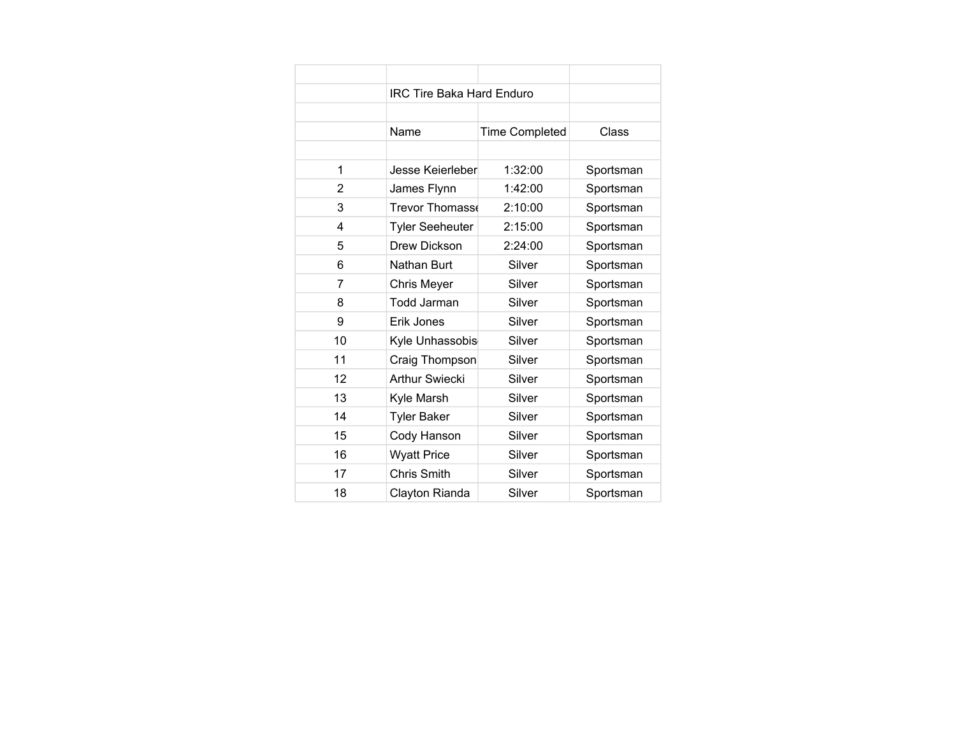|    | <b>IRC Tire Baka Hard Enduro</b> |                       |           |
|----|----------------------------------|-----------------------|-----------|
|    |                                  |                       |           |
|    | Name                             | <b>Time Completed</b> | Class     |
|    |                                  |                       |           |
| 1  | Jesse Keierleber                 | 1:32:00               | Sportsman |
| 2  | James Flynn                      | 1:42:00               | Sportsman |
| 3  | Trevor Thomass                   | 2:10:00               | Sportsman |
| 4  | <b>Tyler Seeheuter</b>           | 2:15:00               | Sportsman |
| 5  | Drew Dickson                     | 2:24:00               | Sportsman |
| 6  | Nathan Burt                      | Silver                | Sportsman |
| 7  | Chris Meyer                      | Silver                | Sportsman |
| 8  | <b>Todd Jarman</b>               | Silver                | Sportsman |
| 9  | Erik Jones                       | Silver                | Sportsman |
| 10 | Kyle Unhassobis                  | Silver                | Sportsman |
| 11 | Craig Thompson                   | Silver                | Sportsman |
| 12 | <b>Arthur Swiecki</b>            | Silver                | Sportsman |
| 13 | Kyle Marsh                       | Silver                | Sportsman |
| 14 | <b>Tyler Baker</b>               | Silver                | Sportsman |
| 15 | Cody Hanson                      | Silver                | Sportsman |
| 16 | <b>Wyatt Price</b>               | Silver                | Sportsman |
| 17 | Chris Smith                      | Silver                | Sportsman |
| 18 | Clayton Rianda                   | Silver                | Sportsman |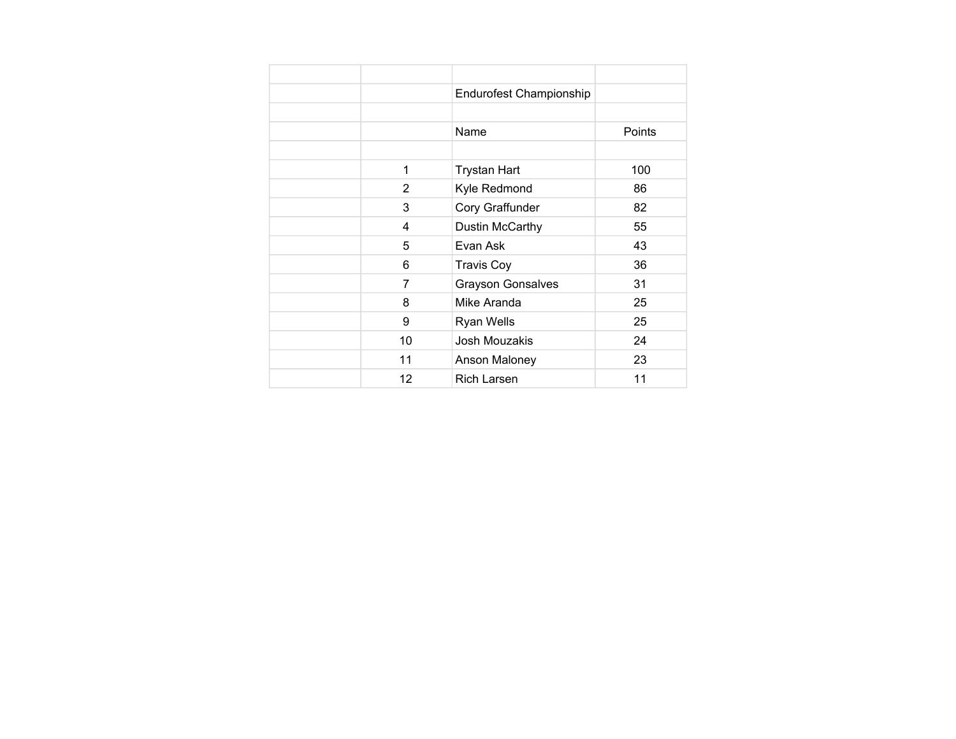|                | <b>Endurofest Championship</b> |               |
|----------------|--------------------------------|---------------|
|                |                                |               |
|                | Name                           | <b>Points</b> |
|                |                                |               |
| 1              | <b>Trystan Hart</b>            | 100           |
| 2              | Kyle Redmond                   | 86            |
| 3              | Cory Graffunder                | 82            |
| 4              | Dustin McCarthy                | 55            |
| 5              | Evan Ask                       | 43            |
| 6              | <b>Travis Coy</b>              | 36            |
| $\overline{7}$ | <b>Grayson Gonsalves</b>       | 31            |
| 8              | Mike Aranda                    | 25            |
| 9              | Ryan Wells                     | 25            |
| 10             | Josh Mouzakis                  | 24            |
| 11             | Anson Maloney                  | 23            |
| 12             | <b>Rich Larsen</b>             | 11            |